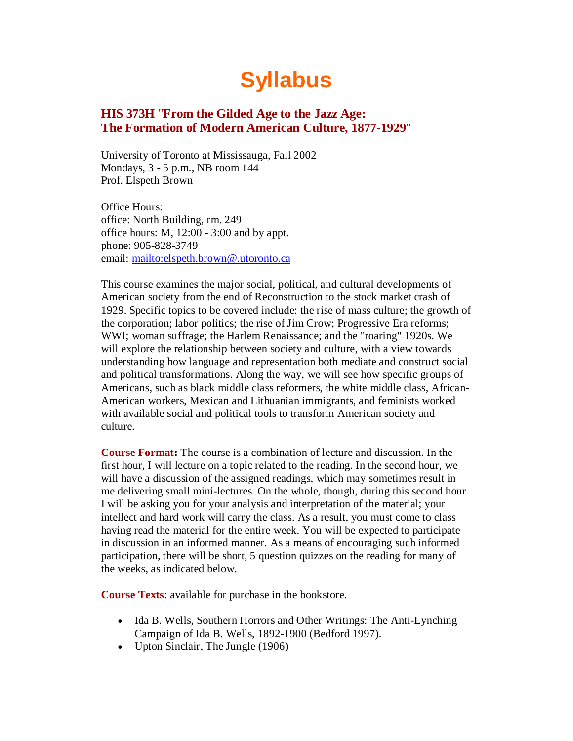# **Syllabus**

# **HIS 373H** "**From the Gilded Age to the Jazz Age: The Formation of Modern American Culture, 1877-1929**"

University of Toronto at Mississauga, Fall 2002 Mondays, 3 - 5 p.m., NB room 144 Prof. Elspeth Brown

Office Hours: office: North Building, rm. 249 office hours: M, 12:00 - 3:00 and by appt. phone: 905-828-3749 email:<mailto:elspeth.brown@.utoronto.ca>

This course examines the major social, political, and cultural developments of American society from the end of Reconstruction to the stock market crash of 1929. Specific topics to be covered include: the rise of mass culture; the growth of the corporation; labor politics; the rise of Jim Crow; Progressive Era reforms; WWI; woman suffrage; the Harlem Renaissance; and the "roaring" 1920s. We will explore the relationship between society and culture, with a view towards understanding how language and representation both mediate and construct social and political transformations. Along the way, we will see how specific groups of Americans, such as black middle class reformers, the white middle class, African-American workers, Mexican and Lithuanian immigrants, and feminists worked with available social and political tools to transform American society and culture.

**Course Format:** The course is a combination of lecture and discussion. In the first hour, I will lecture on a topic related to the reading. In the second hour, we will have a discussion of the assigned readings, which may sometimes result in me delivering small mini-lectures. On the whole, though, during this second hour I will be asking you for your analysis and interpretation of the material; your intellect and hard work will carry the class. As a result, you must come to class having read the material for the entire week. You will be expected to participate in discussion in an informed manner. As a means of encouraging such informed participation, there will be short, 5 question quizzes on the reading for many of the weeks, as indicated below.

**Course Texts**: available for purchase in the bookstore.

- Ida B. Wells, Southern Horrors and Other Writings: The Anti-Lynching Campaign of Ida B. Wells, 1892-1900 (Bedford 1997).
- Upton Sinclair, The Jungle (1906)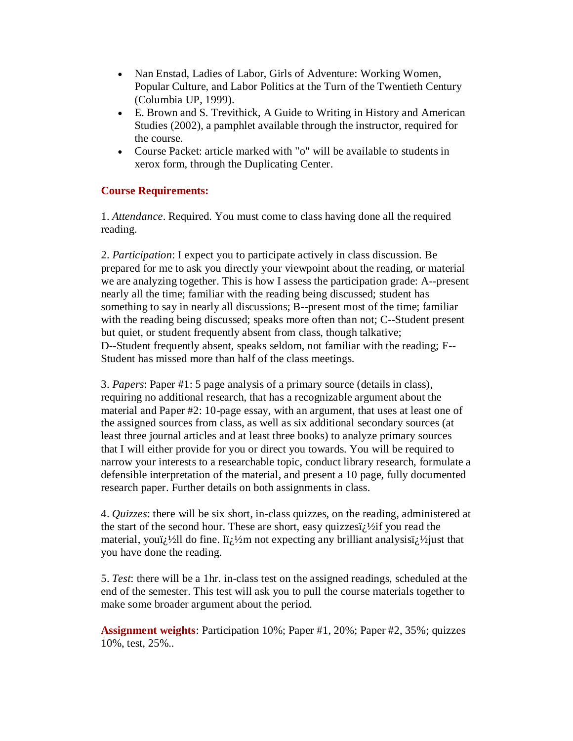- Nan Enstad, Ladies of Labor, Girls of Adventure: Working Women, Popular Culture, and Labor Politics at the Turn of the Twentieth Century (Columbia UP, 1999).
- E. Brown and S. Trevithick, A Guide to Writing in History and American Studies (2002), a pamphlet available through the instructor, required for the course.
- Course Packet: article marked with "o" will be available to students in xerox form, through the Duplicating Center.

# **Course Requirements:**

1. *Attendance*. Required. You must come to class having done all the required reading.

2. *Participation*: I expect you to participate actively in class discussion. Be prepared for me to ask you directly your viewpoint about the reading, or material we are analyzing together. This is how I assess the participation grade: A--present nearly all the time; familiar with the reading being discussed; student has something to say in nearly all discussions; B--present most of the time; familiar with the reading being discussed; speaks more often than not; C--Student present but quiet, or student frequently absent from class, though talkative; D--Student frequently absent, speaks seldom, not familiar with the reading; F-- Student has missed more than half of the class meetings.

3. *Papers*: Paper #1: 5 page analysis of a primary source (details in class), requiring no additional research, that has a recognizable argument about the material and Paper #2: 10-page essay, with an argument, that uses at least one of the assigned sources from class, as well as six additional secondary sources (at least three journal articles and at least three books) to analyze primary sources that I will either provide for you or direct you towards. You will be required to narrow your interests to a researchable topic, conduct library research, formulate a defensible interpretation of the material, and present a 10 page, fully documented research paper. Further details on both assignments in class.

4. *Quizzes*: there will be six short, in-class quizzes, on the reading, administered at the start of the second hour. These are short, easy quizzes $i^j$  /  $i^j$  you read the material, youi<sub>l</sub> <sup>1</sup>/<sub>2</sub>ll do fine. Ii<sub>l</sub> <sup>1</sup>/<sub>2</sub>m not expecting any brilliant analysisi<sub>l</sub> <sup>1</sup>/<sub>2</sub> just that you have done the reading.

5. *Test*: there will be a 1hr. in-class test on the assigned readings, scheduled at the end of the semester. This test will ask you to pull the course materials together to make some broader argument about the period.

**Assignment weights**: Participation 10%; Paper #1, 20%; Paper #2, 35%; quizzes 10%, test, 25%..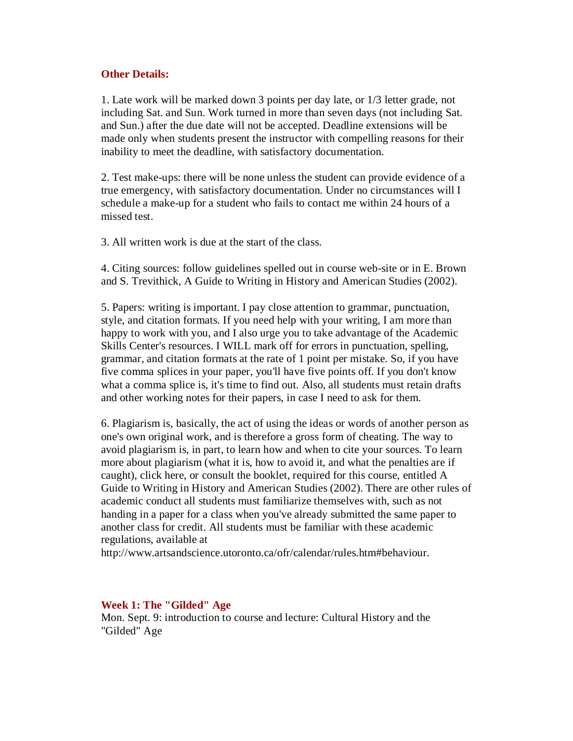## **Other Details:**

1. Late work will be marked down 3 points per day late, or 1/3 letter grade, not including Sat. and Sun. Work turned in more than seven days (not including Sat. and Sun.) after the due date will not be accepted. Deadline extensions will be made only when students present the instructor with compelling reasons for their inability to meet the deadline, with satisfactory documentation.

2. Test make-ups: there will be none unless the student can provide evidence of a true emergency, with satisfactory documentation. Under no circumstances will I schedule a make-up for a student who fails to contact me within 24 hours of a missed test.

3. All written work is due at the start of the class.

4. Citing sources: follow guidelines spelled out in course web-site or in E. Brown and S. Trevithick, A Guide to Writing in History and American Studies (2002).

5. Papers: writing is important. I pay close attention to grammar, punctuation, style, and citation formats. If you need help with your writing, I am more than happy to work with you, and I also urge you to take advantage of the Academic Skills Center's resources. I WILL mark off for errors in punctuation, spelling, grammar, and citation formats at the rate of 1 point per mistake. So, if you have five comma splices in your paper, you'll have five points off. If you don't know what a comma splice is, it's time to find out. Also, all students must retain drafts and other working notes for their papers, in case I need to ask for them.

6. Plagiarism is, basically, the act of using the ideas or words of another person as one's own original work, and is therefore a gross form of cheating. The way to avoid plagiarism is, in part, to learn how and when to cite your sources. To learn more about plagiarism (what it is, how to avoid it, and what the penalties are if caught), click here, or consult the booklet, required for this course, entitled A Guide to Writing in History and American Studies (2002). There are other rules of academic conduct all students must familiarize themselves with, such as not handing in a paper for a class when you've already submitted the same paper to another class for credit. All students must be familiar with these academic regulations, available at

http://www.artsandscience.utoronto.ca/ofr/calendar/rules.htm#behaviour.

## **Week 1: The "Gilded" Age**

Mon. Sept. 9: introduction to course and lecture: Cultural History and the "Gilded" Age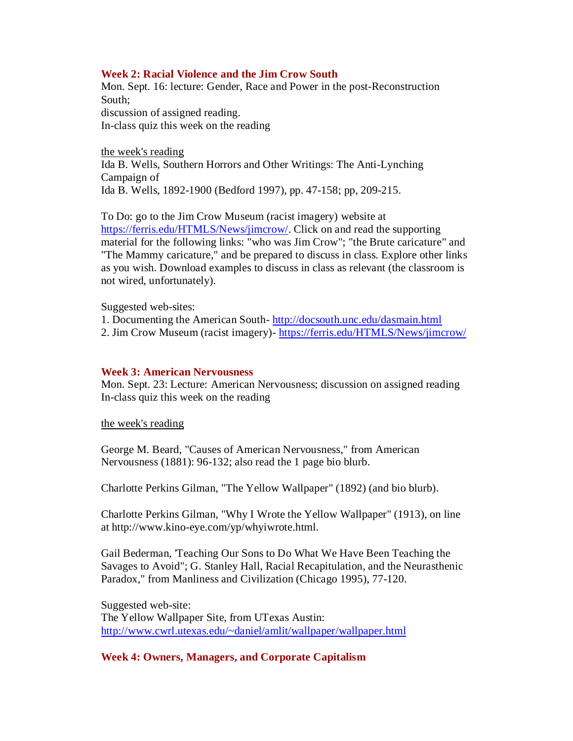## **Week 2: Racial Violence and the Jim Crow South**

Mon. Sept. 16: lecture: Gender, Race and Power in the post-Reconstruction South; discussion of assigned reading. In-class quiz this week on the reading

the week's reading Ida B. Wells, Southern Horrors and Other Writings: The Anti-Lynching Campaign of Ida B. Wells, 1892-1900 (Bedford 1997), pp. 47-158; pp, 209-215.

To Do: go to the Jim Crow Museum (racist imagery) website at [https://ferris.edu/HTMLS/News/jimcrow/.](https://ferris.edu/HTMLS/News/jimcrow/) Click on and read the supporting material for the following links: "who was Jim Crow"; "the Brute caricature" and "The Mammy caricature," and be prepared to discuss in class. Explore other links as you wish. Download examples to discuss in class as relevant (the classroom is not wired, unfortunately).

Suggested web-sites:

1. Documenting the American South- <http://docsouth.unc.edu/dasmain.html>

2. Jim Crow Museum (racist imagery)- <https://ferris.edu/HTMLS/News/jimcrow/>

## **Week 3: American Nervousness**

Mon. Sept. 23: Lecture: American Nervousness; discussion on assigned reading In-class quiz this week on the reading

the week's reading

George M. Beard, "Causes of American Nervousness," from American Nervousness (1881): 96-132; also read the 1 page bio blurb.

Charlotte Perkins Gilman, "The Yellow Wallpaper" (1892) (and bio blurb).

Charlotte Perkins Gilman, "Why I Wrote the Yellow Wallpaper" (1913), on line at http://www.kino-eye.com/yp/whyiwrote.html.

Gail Bederman, 'Teaching Our Sons to Do What We Have Been Teaching the Savages to Avoid"; G. Stanley Hall, Racial Recapitulation, and the Neurasthenic Paradox," from Manliness and Civilization (Chicago 1995), 77-120.

Suggested web-site: The Yellow Wallpaper Site, from UTexas Austin: [http://www.cwrl.utexas.edu/~daniel/amlit/wallpaper/wallpaper.html](http://www.cwrl.utexas.edu/%7Edaniel/amlit/wallpaper/wallpaper.html)

## **Week 4: Owners, Managers, and Corporate Capitalism**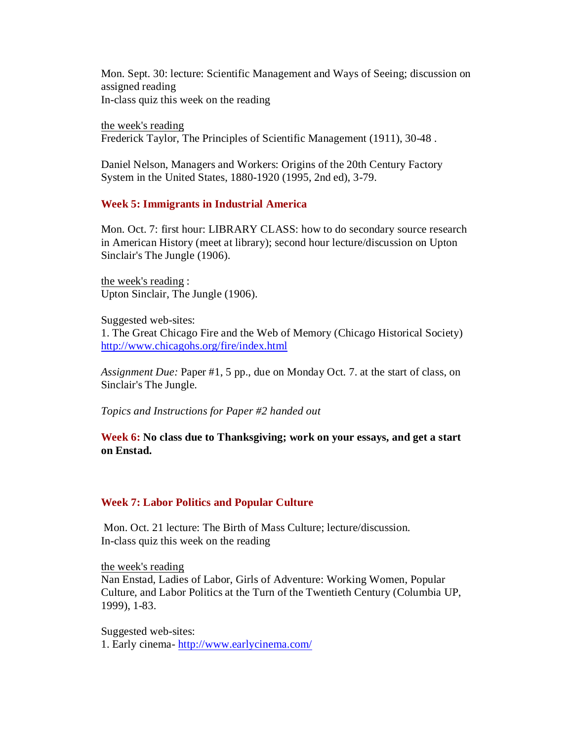Mon. Sept. 30: lecture: Scientific Management and Ways of Seeing; discussion on assigned reading In-class quiz this week on the reading

the week's reading Frederick Taylor, The Principles of Scientific Management (1911), 30-48 .

Daniel Nelson, Managers and Workers: Origins of the 20th Century Factory System in the United States, 1880-1920 (1995, 2nd ed), 3-79.

## **Week 5: Immigrants in Industrial America**

Mon. Oct. 7: first hour: LIBRARY CLASS: how to do secondary source research in American History (meet at library); second hour lecture/discussion on Upton Sinclair's The Jungle (1906).

the week's reading : Upton Sinclair, The Jungle (1906).

Suggested web-sites: 1. The Great Chicago Fire and the Web of Memory (Chicago Historical Society) <http://www.chicagohs.org/fire/index.html>

*Assignment Due:* Paper #1, 5 pp., due on Monday Oct. 7. at the start of class, on Sinclair's The Jungle.

*Topics and Instructions for Paper #2 handed out*

**Week 6: No class due to Thanksgiving; work on your essays, and get a start on Enstad.**

## **Week 7: Labor Politics and Popular Culture**

Mon. Oct. 21 lecture: The Birth of Mass Culture; lecture/discussion. In-class quiz this week on the reading

the week's reading Nan Enstad, Ladies of Labor, Girls of Adventure: Working Women, Popular Culture, and Labor Politics at the Turn of the Twentieth Century (Columbia UP, 1999), 1-83.

Suggested web-sites: 1. Early cinema- <http://www.earlycinema.com/>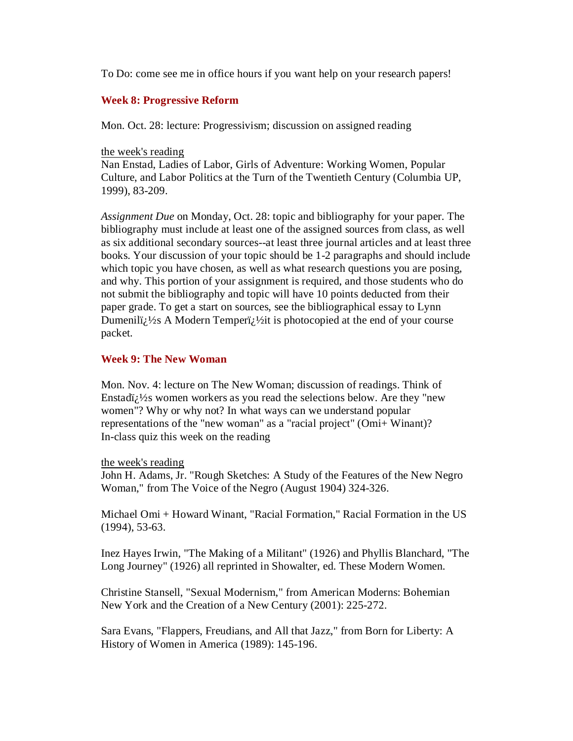To Do: come see me in office hours if you want help on your research papers!

## **Week 8: Progressive Reform**

Mon. Oct. 28: lecture: Progressivism; discussion on assigned reading

## the week's reading

Nan Enstad, Ladies of Labor, Girls of Adventure: Working Women, Popular Culture, and Labor Politics at the Turn of the Twentieth Century (Columbia UP, 1999), 83-209.

*Assignment Due* on Monday, Oct. 28: topic and bibliography for your paper. The bibliography must include at least one of the assigned sources from class, as well as six additional secondary sources--at least three journal articles and at least three books. Your discussion of your topic should be 1-2 paragraphs and should include which topic you have chosen, as well as what research questions you are posing, and why. This portion of your assignment is required, and those students who do not submit the bibliography and topic will have 10 points deducted from their paper grade. To get a start on sources, see the bibliographical essay to Lynn Dumeniliz  $\frac{1}{2}$ s A Modern Temperiz  $\frac{1}{2}$ it is photocopied at the end of your course packet.

## **Week 9: The New Woman**

Mon. Nov. 4: lecture on The New Woman; discussion of readings. Think of Enstadi $i$ <sup>1/2</sup>s women workers as you read the selections below. Are they "new women"? Why or why not? In what ways can we understand popular representations of the "new woman" as a "racial project" (Omi+ Winant)? In-class quiz this week on the reading

## the week's reading

John H. Adams, Jr. "Rough Sketches: A Study of the Features of the New Negro Woman," from The Voice of the Negro (August 1904) 324-326.

Michael Omi + Howard Winant, "Racial Formation," Racial Formation in the US (1994), 53-63.

Inez Hayes Irwin, "The Making of a Militant" (1926) and Phyllis Blanchard, "The Long Journey" (1926) all reprinted in Showalter, ed. These Modern Women.

Christine Stansell, "Sexual Modernism," from American Moderns: Bohemian New York and the Creation of a New Century (2001): 225-272.

Sara Evans, "Flappers, Freudians, and All that Jazz," from Born for Liberty: A History of Women in America (1989): 145-196.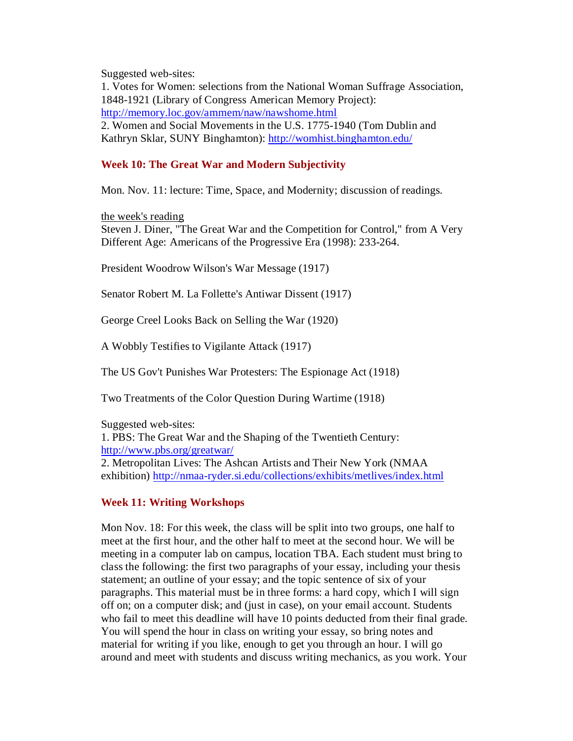Suggested web-sites:

1. Votes for Women: selections from the National Woman Suffrage Association, 1848-1921 (Library of Congress American Memory Project): <http://memory.loc.gov/ammem/naw/nawshome.html> 2. Women and Social Movements in the U.S. 1775-1940 (Tom Dublin and Kathryn Sklar, SUNY Binghamton):<http://womhist.binghamton.edu/>

# **Week 10: The Great War and Modern Subjectivity**

Mon. Nov. 11: lecture: Time, Space, and Modernity; discussion of readings.

the week's reading

Steven J. Diner, "The Great War and the Competition for Control," from A Very Different Age: Americans of the Progressive Era (1998): 233-264.

President Woodrow Wilson's War Message (1917)

Senator Robert M. La Follette's Antiwar Dissent (1917)

George Creel Looks Back on Selling the War (1920)

A Wobbly Testifies to Vigilante Attack (1917)

The US Gov't Punishes War Protesters: The Espionage Act (1918)

Two Treatments of the Color Question During Wartime (1918)

Suggested web-sites: 1. PBS: The Great War and the Shaping of the Twentieth Century: <http://www.pbs.org/greatwar/> 2. Metropolitan Lives: The Ashcan Artists and Their New York (NMAA exhibition)<http://nmaa-ryder.si.edu/collections/exhibits/metlives/index.html>

## **Week 11: Writing Workshops**

Mon Nov. 18: For this week, the class will be split into two groups, one half to meet at the first hour, and the other half to meet at the second hour. We will be meeting in a computer lab on campus, location TBA. Each student must bring to class the following: the first two paragraphs of your essay, including your thesis statement; an outline of your essay; and the topic sentence of six of your paragraphs. This material must be in three forms: a hard copy, which I will sign off on; on a computer disk; and (just in case), on your email account. Students who fail to meet this deadline will have 10 points deducted from their final grade. You will spend the hour in class on writing your essay, so bring notes and material for writing if you like, enough to get you through an hour. I will go around and meet with students and discuss writing mechanics, as you work. Your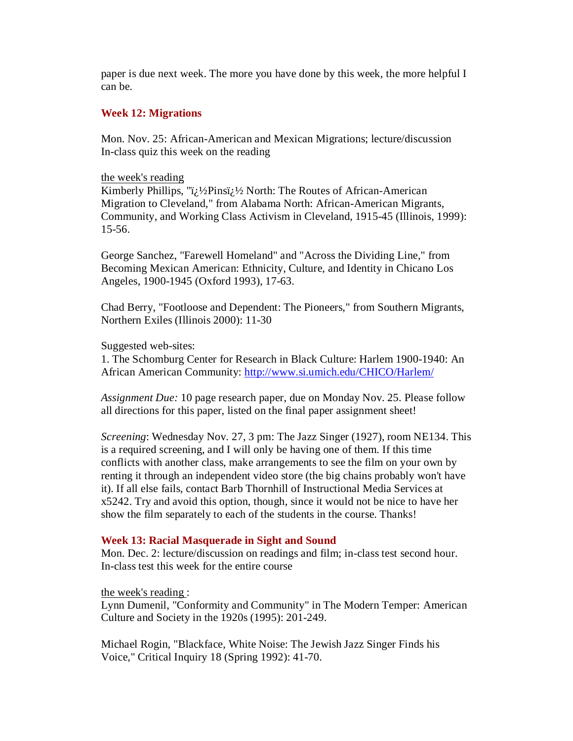paper is due next week. The more you have done by this week, the more helpful I can be.

## **Week 12: Migrations**

Mon. Nov. 25: African-American and Mexican Migrations; lecture/discussion In-class quiz this week on the reading

#### the week's reading

Kimberly Phillips, " $i/2$ Pins $i/2$  North: The Routes of African-American Migration to Cleveland," from Alabama North: African-American Migrants, Community, and Working Class Activism in Cleveland, 1915-45 (Illinois, 1999): 15-56.

George Sanchez, "Farewell Homeland" and "Across the Dividing Line," from Becoming Mexican American: Ethnicity, Culture, and Identity in Chicano Los Angeles, 1900-1945 (Oxford 1993), 17-63.

Chad Berry, "Footloose and Dependent: The Pioneers," from Southern Migrants, Northern Exiles (Illinois 2000): 11-30

Suggested web-sites:

1. The Schomburg Center for Research in Black Culture: Harlem 1900-1940: An African American Community:<http://www.si.umich.edu/CHICO/Harlem/>

*Assignment Due:* 10 page research paper, due on Monday Nov. 25. Please follow all directions for this paper, listed on the final paper assignment sheet!

*Screening*: Wednesday Nov. 27, 3 pm: The Jazz Singer (1927), room NE134. This is a required screening, and I will only be having one of them. If this time conflicts with another class, make arrangements to see the film on your own by renting it through an independent video store (the big chains probably won't have it). If all else fails, contact Barb Thornhill of Instructional Media Services at x5242. Try and avoid this option, though, since it would not be nice to have her show the film separately to each of the students in the course. Thanks!

#### **Week 13: Racial Masquerade in Sight and Sound**

Mon. Dec. 2: lecture/discussion on readings and film; in-class test second hour. In-class test this week for the entire course

the week's reading :

Lynn Dumenil, "Conformity and Community" in The Modern Temper: American Culture and Society in the 1920s (1995): 201-249.

Michael Rogin, "Blackface, White Noise: The Jewish Jazz Singer Finds his Voice," Critical Inquiry 18 (Spring 1992): 41-70.